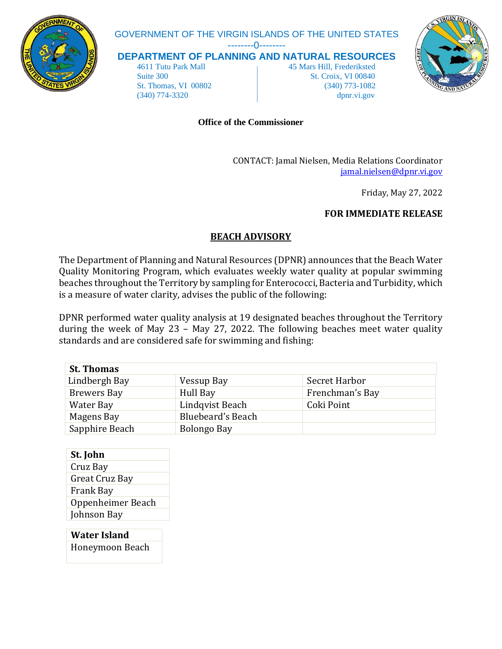

# GOVERNMENT OF THE VIRGIN ISLANDS OF THE UNITED STATES

--------0--------

**DEPARTMENT OF PLANNING AND NATURAL RESOURCES**

 4611 Tutu Park Mall 45 Mars Hill, Frederiksted Suite 300 St. Croix, VI 00840 St. Thomas, VI 00802 (340) 773-1082 (340) 774-3320 dpnr.vi.gov



#### **Office of the Commissioner**

CONTACT: Jamal Nielsen, Media Relations Coordinator [jamal.nielsen@dpnr.vi.gov](mailto:jamal.nielsen@dpnr.vi.gov)

Friday, May 27, 2022

## **FOR IMMEDIATE RELEASE**

## **BEACH ADVISORY**

The Department of Planning and Natural Resources (DPNR) announces that the Beach Water Quality Monitoring Program, which evaluates weekly water quality at popular swimming beaches throughout the Territory by sampling for Enterococci, Bacteria and Turbidity, which is a measure of water clarity, advises the public of the following:

DPNR performed water quality analysis at 19 designated beaches throughout the Territory during the week of May 23 – May 27, 2022. The following beaches meet water quality standards and are considered safe for swimming and fishing:

| <b>St. Thomas</b>  |                   |                 |
|--------------------|-------------------|-----------------|
| Lindbergh Bay      | Vessup Bay        | Secret Harbor   |
| <b>Brewers Bay</b> | Hull Bay          | Frenchman's Bay |
| Water Bay          | Lindqvist Beach   | Coki Point      |
| Magens Bay         | Bluebeard's Beach |                 |
| Sapphire Beach     | Bolongo Bay       |                 |

| St. John          |  |
|-------------------|--|
| Cruz Bay          |  |
| Great Cruz Bay    |  |
| Frank Bay         |  |
| Oppenheimer Beach |  |
| Johnson Bay       |  |

**Water Island** Honeymoon Beach